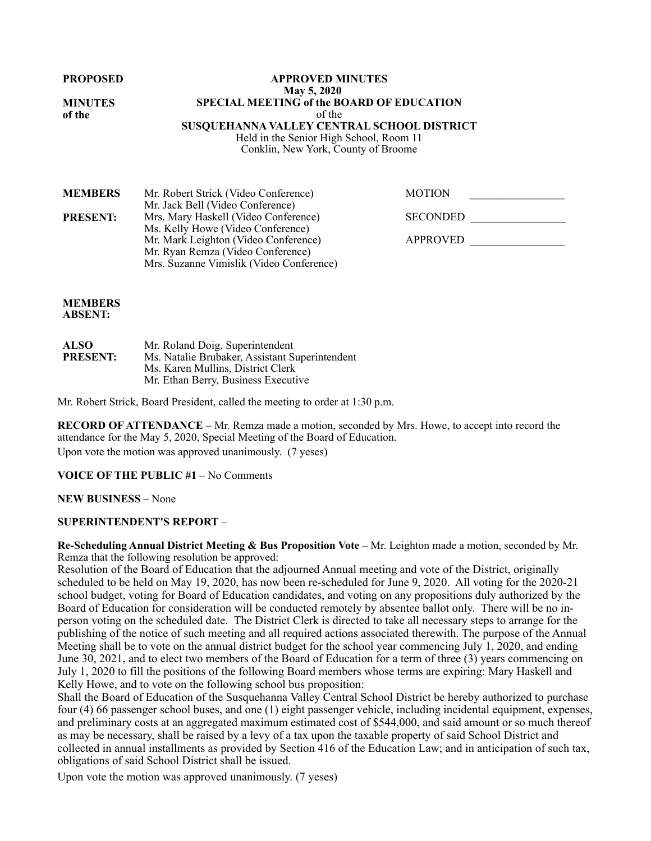**PROPOSED** 

**MINUTES of the**

#### **APPROVED MINUTES May 5, 2020 SPECIAL MEETING of the BOARD OF EDUCATION**  of the **SUSQUEHANNA VALLEY CENTRAL SCHOOL DISTRICT**  Held in the Senior High School, Room 11

Conklin, New York, County of Broome

| <b>MEMBERS</b>  | Mr. Robert Strick (Video Conference)     | <b>MOTION</b>   |  |
|-----------------|------------------------------------------|-----------------|--|
|                 | Mr. Jack Bell (Video Conference)         |                 |  |
| <b>PRESENT:</b> | Mrs. Mary Haskell (Video Conference)     | <b>SECONDED</b> |  |
|                 | Ms. Kelly Howe (Video Conference)        |                 |  |
|                 | Mr. Mark Leighton (Video Conference)     | APPROVED        |  |
|                 | Mr. Ryan Remza (Video Conference)        |                 |  |
|                 | Mrs. Suzanne Vimislik (Video Conference) |                 |  |

#### **MEMBERS ABSENT:**

| <b>ALSO</b>     | Mr. Roland Doig, Superintendent                |
|-----------------|------------------------------------------------|
| <b>PRESENT:</b> | Ms. Natalie Brubaker, Assistant Superintendent |
|                 | Ms. Karen Mullins, District Clerk              |
|                 | Mr. Ethan Berry, Business Executive            |

Mr. Robert Strick, Board President, called the meeting to order at 1:30 p.m.

**RECORD OF ATTENDANCE** – Mr. Remza made a motion, seconded by Mrs. Howe, to accept into record the attendance for the May 5, 2020, Special Meeting of the Board of Education. Upon vote the motion was approved unanimously. (7 yeses)

# **VOICE OF THE PUBLIC #1** – No Comments

**NEW BUSINESS –** None

# **SUPERINTENDENT'S REPORT** –

**Re-Scheduling Annual District Meeting & Bus Proposition Vote** – Mr. Leighton made a motion, seconded by Mr. Remza that the following resolution be approved:

Resolution of the Board of Education that the adjourned Annual meeting and vote of the District, originally scheduled to be held on May 19, 2020, has now been re-scheduled for June 9, 2020. All voting for the 2020-21 school budget, voting for Board of Education candidates, and voting on any propositions duly authorized by the Board of Education for consideration will be conducted remotely by absentee ballot only. There will be no inperson voting on the scheduled date. The District Clerk is directed to take all necessary steps to arrange for the publishing of the notice of such meeting and all required actions associated therewith. The purpose of the Annual Meeting shall be to vote on the annual district budget for the school year commencing July 1, 2020, and ending June 30, 2021, and to elect two members of the Board of Education for a term of three (3) years commencing on July 1, 2020 to fill the positions of the following Board members whose terms are expiring: Mary Haskell and Kelly Howe, and to vote on the following school bus proposition:

Shall the Board of Education of the Susquehanna Valley Central School District be hereby authorized to purchase four (4) 66 passenger school buses, and one (1) eight passenger vehicle, including incidental equipment, expenses, and preliminary costs at an aggregated maximum estimated cost of \$544,000, and said amount or so much thereof as may be necessary, shall be raised by a levy of a tax upon the taxable property of said School District and collected in annual installments as provided by Section 416 of the Education Law; and in anticipation of such tax, obligations of said School District shall be issued.

Upon vote the motion was approved unanimously. (7 yeses)